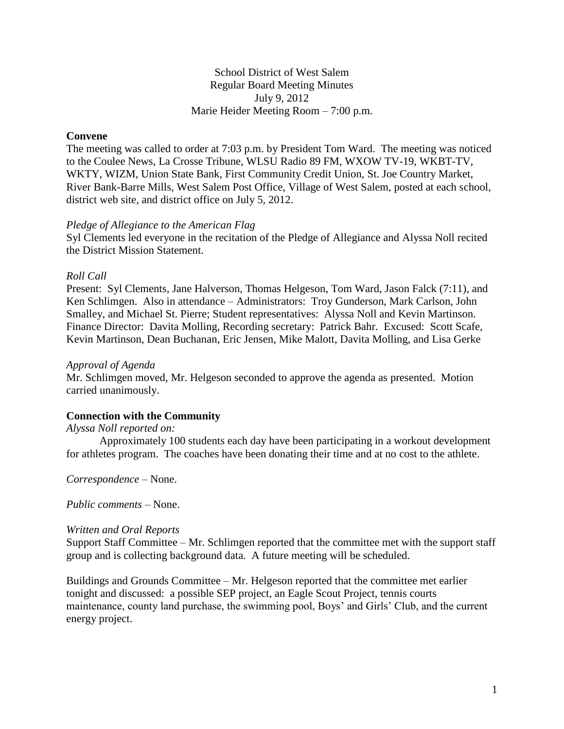School District of West Salem Regular Board Meeting Minutes July 9, 2012 Marie Heider Meeting Room – 7:00 p.m.

## **Convene**

The meeting was called to order at 7:03 p.m. by President Tom Ward. The meeting was noticed to the Coulee News, La Crosse Tribune, WLSU Radio 89 FM, WXOW TV-19, WKBT-TV, WKTY, WIZM, Union State Bank, First Community Credit Union, St. Joe Country Market, River Bank-Barre Mills, West Salem Post Office, Village of West Salem, posted at each school, district web site, and district office on July 5, 2012.

#### *Pledge of Allegiance to the American Flag*

Syl Clements led everyone in the recitation of the Pledge of Allegiance and Alyssa Noll recited the District Mission Statement.

## *Roll Call*

Present: Syl Clements, Jane Halverson, Thomas Helgeson, Tom Ward, Jason Falck (7:11), and Ken Schlimgen. Also in attendance – Administrators: Troy Gunderson, Mark Carlson, John Smalley, and Michael St. Pierre; Student representatives: Alyssa Noll and Kevin Martinson. Finance Director: Davita Molling, Recording secretary: Patrick Bahr. Excused: Scott Scafe, Kevin Martinson, Dean Buchanan, Eric Jensen, Mike Malott, Davita Molling, and Lisa Gerke

#### *Approval of Agenda*

Mr. Schlimgen moved, Mr. Helgeson seconded to approve the agenda as presented. Motion carried unanimously.

## **Connection with the Community**

#### *Alyssa Noll reported on:*

Approximately 100 students each day have been participating in a workout development for athletes program. The coaches have been donating their time and at no cost to the athlete.

*Correspondence –* None.

*Public comments –* None.

#### *Written and Oral Reports*

Support Staff Committee – Mr. Schlimgen reported that the committee met with the support staff group and is collecting background data. A future meeting will be scheduled.

Buildings and Grounds Committee – Mr. Helgeson reported that the committee met earlier tonight and discussed: a possible SEP project, an Eagle Scout Project, tennis courts maintenance, county land purchase, the swimming pool, Boys' and Girls' Club, and the current energy project.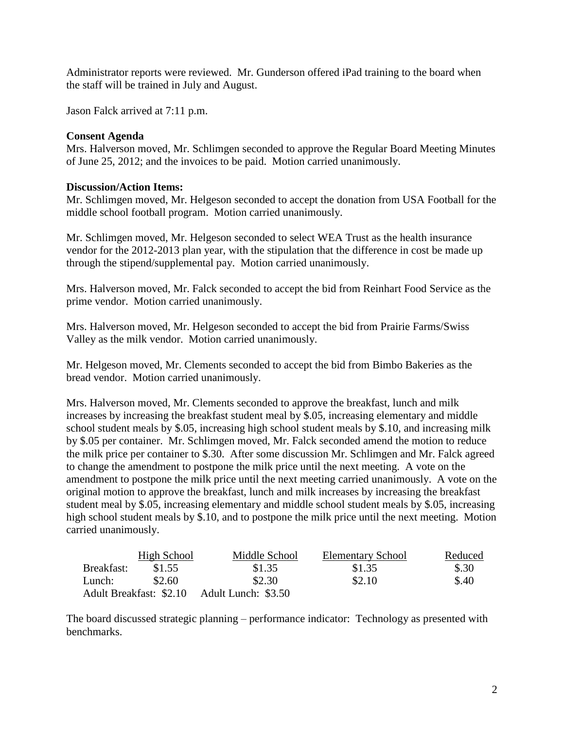Administrator reports were reviewed. Mr. Gunderson offered iPad training to the board when the staff will be trained in July and August.

Jason Falck arrived at 7:11 p.m.

# **Consent Agenda**

Mrs. Halverson moved, Mr. Schlimgen seconded to approve the Regular Board Meeting Minutes of June 25, 2012; and the invoices to be paid. Motion carried unanimously.

# **Discussion/Action Items:**

Mr. Schlimgen moved, Mr. Helgeson seconded to accept the donation from USA Football for the middle school football program. Motion carried unanimously.

Mr. Schlimgen moved, Mr. Helgeson seconded to select WEA Trust as the health insurance vendor for the 2012-2013 plan year, with the stipulation that the difference in cost be made up through the stipend/supplemental pay. Motion carried unanimously.

Mrs. Halverson moved, Mr. Falck seconded to accept the bid from Reinhart Food Service as the prime vendor. Motion carried unanimously.

Mrs. Halverson moved, Mr. Helgeson seconded to accept the bid from Prairie Farms/Swiss Valley as the milk vendor. Motion carried unanimously.

Mr. Helgeson moved, Mr. Clements seconded to accept the bid from Bimbo Bakeries as the bread vendor. Motion carried unanimously.

Mrs. Halverson moved, Mr. Clements seconded to approve the breakfast, lunch and milk increases by increasing the breakfast student meal by \$.05, increasing elementary and middle school student meals by \$.05, increasing high school student meals by \$.10, and increasing milk by \$.05 per container. Mr. Schlimgen moved, Mr. Falck seconded amend the motion to reduce the milk price per container to \$.30. After some discussion Mr. Schlimgen and Mr. Falck agreed to change the amendment to postpone the milk price until the next meeting. A vote on the amendment to postpone the milk price until the next meeting carried unanimously. A vote on the original motion to approve the breakfast, lunch and milk increases by increasing the breakfast student meal by \$.05, increasing elementary and middle school student meals by \$.05, increasing high school student meals by \$.10, and to postpone the milk price until the next meeting. Motion carried unanimously.

|                         | High School | Middle School       | Elementary School | Reduced |
|-------------------------|-------------|---------------------|-------------------|---------|
| Breakfast:              | \$1.55      | \$1.35              | \$1.35            | \$.30   |
| Lunch:                  | \$2.60      | \$2.30              | \$2.10            | \$.40   |
| Adult Breakfast: \$2.10 |             | Adult Lunch: \$3.50 |                   |         |

The board discussed strategic planning – performance indicator: Technology as presented with benchmarks.